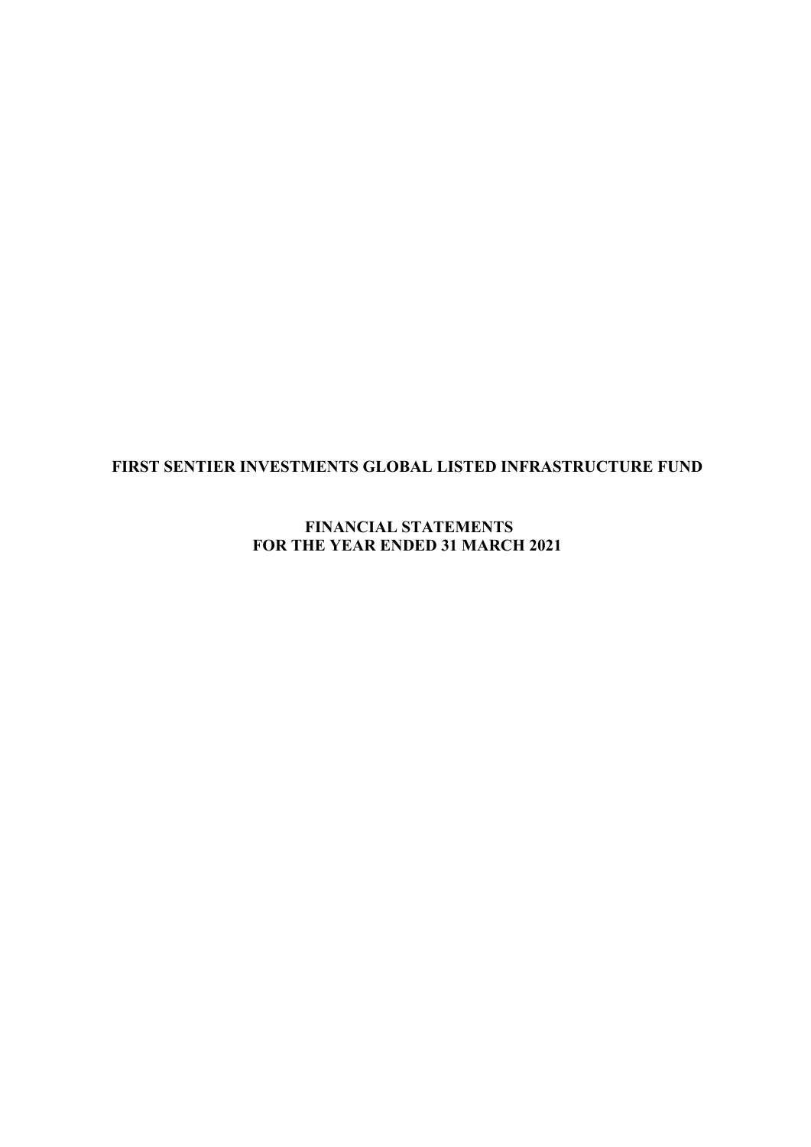**FINANCIAL STATEMENTS FOR THE YEAR ENDED 31 MARCH 2021**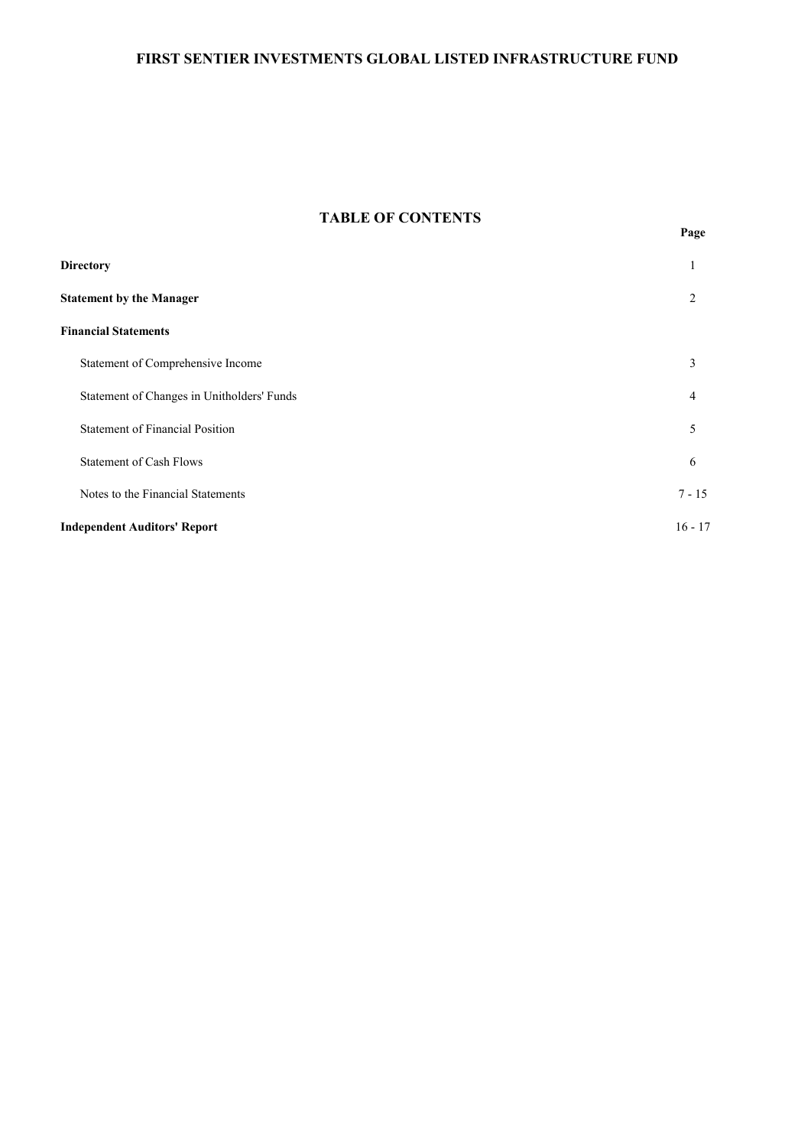## **TABLE OF CONTENTS**

| <b>Directory</b>                           | 1         |
|--------------------------------------------|-----------|
| <b>Statement by the Manager</b>            | 2         |
| <b>Financial Statements</b>                |           |
| Statement of Comprehensive Income          | 3         |
| Statement of Changes in Unitholders' Funds | 4         |
| <b>Statement of Financial Position</b>     | 5         |
| <b>Statement of Cash Flows</b>             | 6         |
| Notes to the Financial Statements          | $7 - 15$  |
| <b>Independent Auditors' Report</b>        | $16 - 17$ |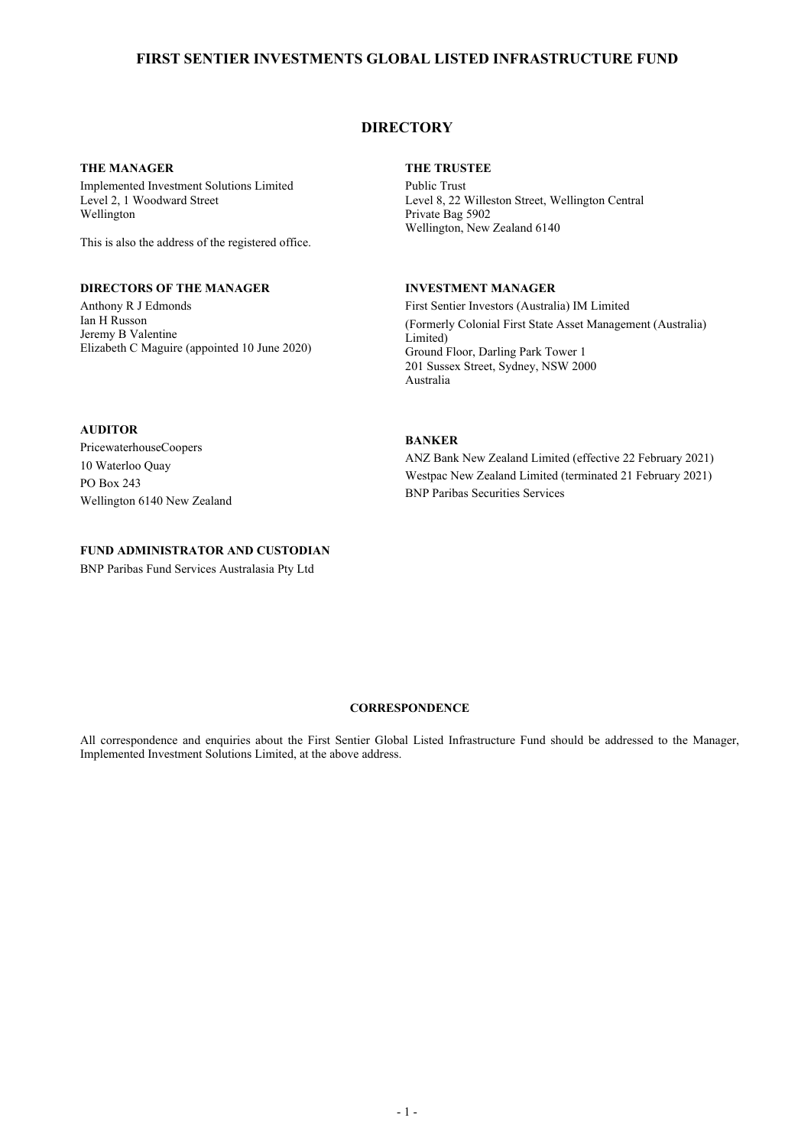## **DIRECTORY**

### **THE MANAGER**

Implemented Investment Solutions Limited Level 2, 1 Woodward Street Wellington

This is also the address of the registered office.

## **DIRECTORS OF THE MANAGER**

Anthony R J Edmonds Ian H Russon Jeremy B Valentine Elizabeth C Maguire (appointed 10 June 2020)

### **THE TRUSTEE**

Public Trust Level 8, 22 Willeston Street, Wellington Central Private Bag 5902 Wellington, New Zealand 6140

### **INVESTMENT MANAGER**

First Sentier Investors (Australia) IM Limited (Formerly Colonial First State Asset Management (Australia) Limited) Ground Floor, Darling Park Tower 1 201 Sussex Street, Sydney, NSW 2000 Australia

## **AUDITOR**

PricewaterhouseCoopers 10 Waterloo Quay PO Box 243 Wellington 6140 New Zealand

### **FUND ADMINISTRATOR AND CUSTODIAN**

BNP Paribas Fund Services Australasia Pty Ltd

## **BANKER**

ANZ Bank New Zealand Limited (effective 22 February 2021) Westpac New Zealand Limited (terminated 21 February 2021) BNP Paribas Securities Services

### **CORRESPONDENCE**

All correspondence and enquiries about the First Sentier Global Listed Infrastructure Fund should be addressed to the Manager, Implemented Investment Solutions Limited, at the above address.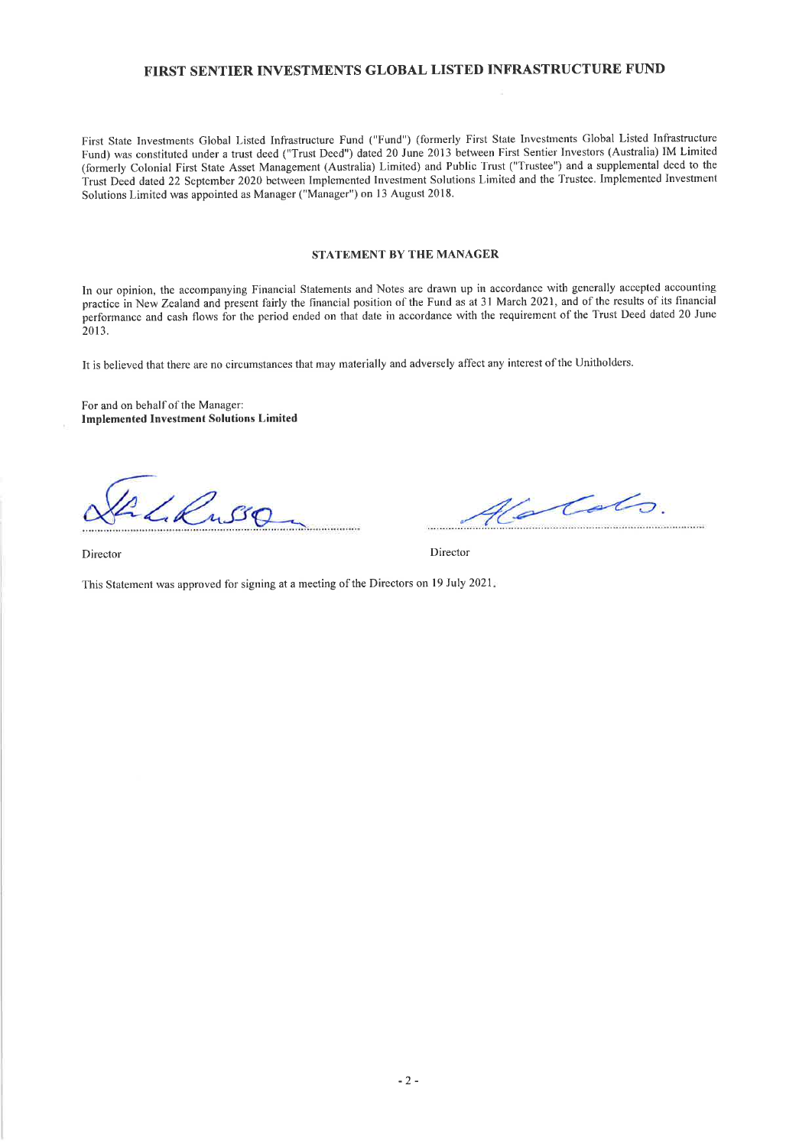First State Investments Global Listed Infrastructure Fund ("Fund") (formerly First State Investments Global Listed Infrastructure Fund) was constituted under a trust deed ("Trust Deed") dated 20 June 2013 between First Sentier Investors (Australia) IM Limited (formerly Colonial First State Asset Management (Australia) Limited) and Public Trust ("Trustee") and a supplemental deed to the Trust Deed dated 22 September 2020 between Implemented Investment Solutions Limited and the Trustee. Implemented Investment Solutions Limited was appointed as Manager ("Manager") on l3 August 2018.

#### STATEMENT BY THE MANAGER

In our opinion, the accompanying Financial Statements and Notes are drawn up in accordance with generally accepted accounting practice in New Zealand and present fairly the financial position of the Fund as at 31 March 2021, and of the results of its financial performance and cash flows for the period ended on that date in accordance with the requirement of the Trust Deed dated 20 June 2013.

It is believed that there are no circumstances that may materially and adversely affect any interest ofthe Unitholders.

For and on behalf of the Manager: Implemented Investment Solutions Limited

2 L. Russ

Valots. 

Director Director

This Statement was approved for signing at a meeting of the Directors on l9 July <sup>2021</sup>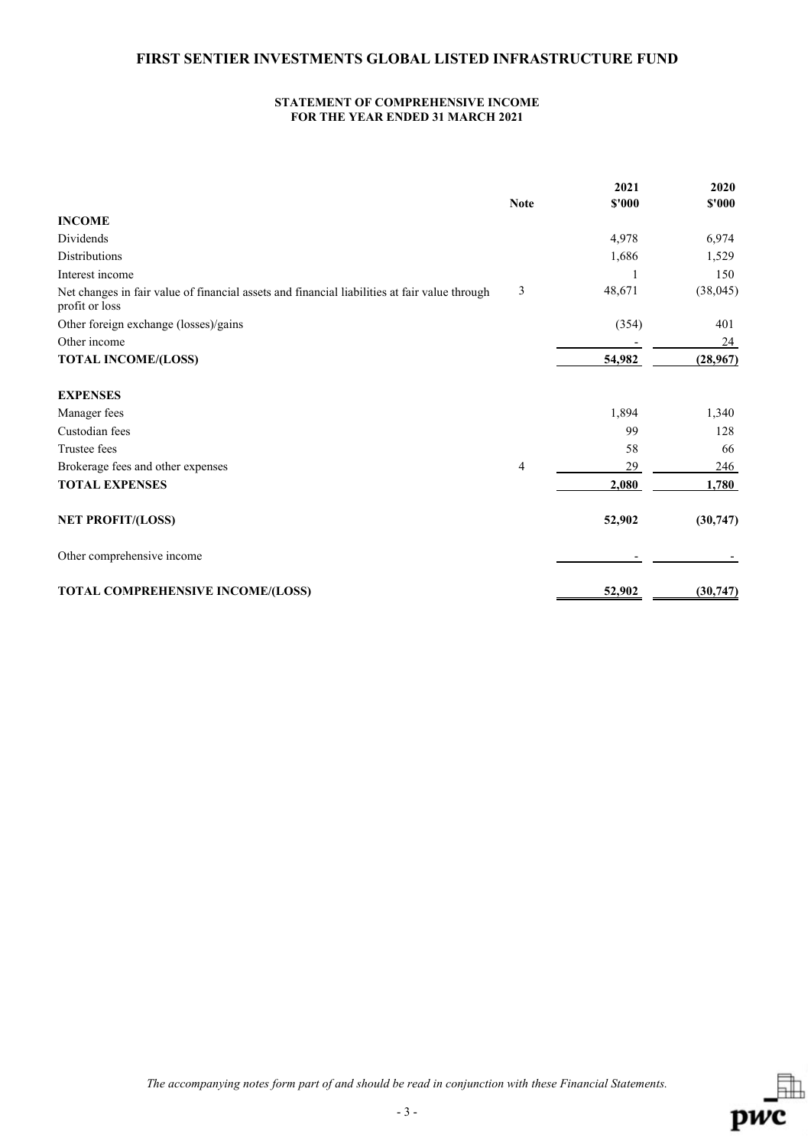#### **STATEMENT OF COMPREHENSIVE INCOME FOR THE YEAR ENDED 31 MARCH 2021**

|                                                                                                                 |                | 2021   | 2020      |
|-----------------------------------------------------------------------------------------------------------------|----------------|--------|-----------|
|                                                                                                                 | <b>Note</b>    | \$'000 | \$'000    |
| <b>INCOME</b>                                                                                                   |                |        |           |
| <b>Dividends</b>                                                                                                |                | 4,978  | 6,974     |
| <b>Distributions</b>                                                                                            |                | 1,686  | 1,529     |
| Interest income                                                                                                 |                |        | 150       |
| Net changes in fair value of financial assets and financial liabilities at fair value through<br>profit or loss | 3              | 48,671 | (38, 045) |
| Other foreign exchange (losses)/gains                                                                           |                | (354)  | 401       |
| Other income                                                                                                    |                |        | 24        |
| <b>TOTAL INCOME/(LOSS)</b>                                                                                      |                | 54,982 | (28,967)  |
| <b>EXPENSES</b>                                                                                                 |                |        |           |
| Manager fees                                                                                                    |                | 1,894  | 1,340     |
| Custodian fees                                                                                                  |                | 99     | 128       |
| Trustee fees                                                                                                    |                | 58     | 66        |
| Brokerage fees and other expenses                                                                               | $\overline{4}$ | 29     | 246       |
| <b>TOTAL EXPENSES</b>                                                                                           |                | 2,080  | 1,780     |
| <b>NET PROFIT/(LOSS)</b>                                                                                        |                | 52,902 | (30,747)  |
| Other comprehensive income                                                                                      |                |        |           |
| TOTAL COMPREHENSIVE INCOME/(LOSS)                                                                               |                | 52,902 | (30, 747) |

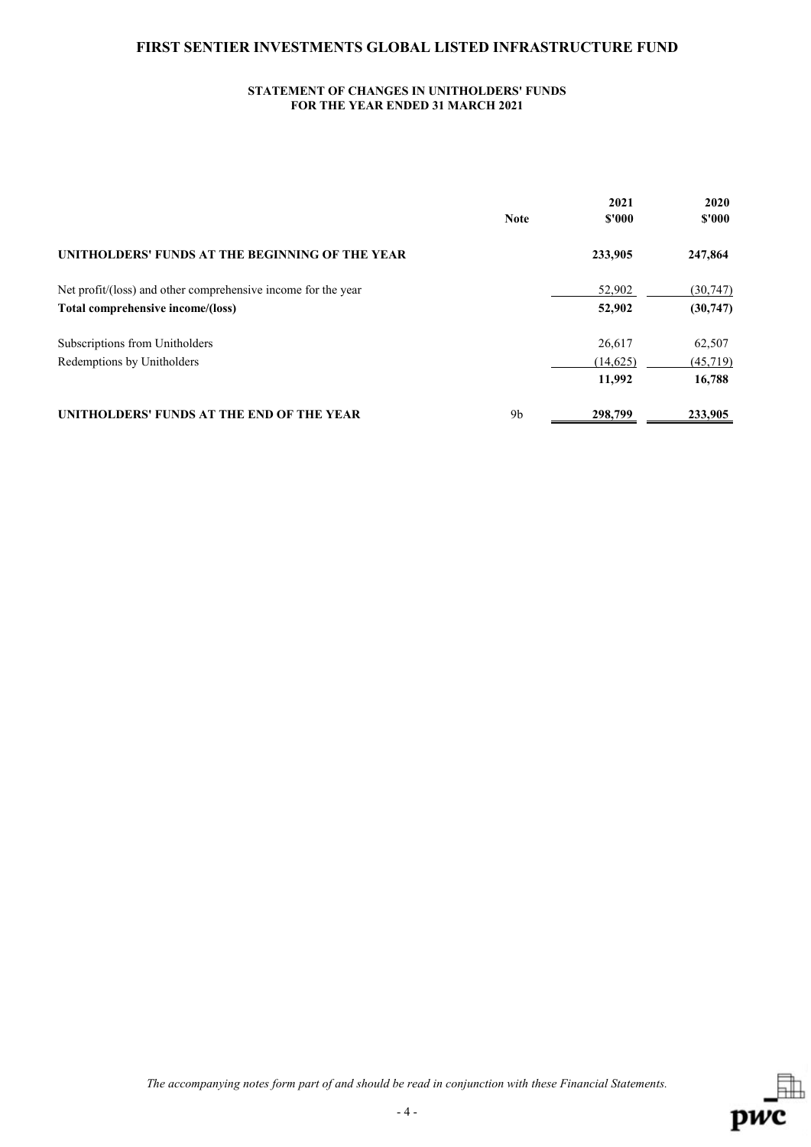## **STATEMENT OF CHANGES IN UNITHOLDERS' FUNDS FOR THE YEAR ENDED 31 MARCH 2021**

|                                                               |                | 2021     | 2020      |
|---------------------------------------------------------------|----------------|----------|-----------|
|                                                               | <b>Note</b>    | \$'000   | \$'000    |
| UNITHOLDERS' FUNDS AT THE BEGINNING OF THE YEAR               |                | 233,905  | 247,864   |
| Net profit/(loss) and other comprehensive income for the year |                | 52,902   | (30, 747) |
| Total comprehensive income/(loss)                             |                | 52,902   | (30,747)  |
| Subscriptions from Unitholders                                |                | 26,617   | 62,507    |
| Redemptions by Unitholders                                    |                | (14,625) | (45,719)  |
|                                                               |                | 11,992   | 16,788    |
| UNITHOLDERS' FUNDS AT THE END OF THE YEAR                     | 9 <sub>b</sub> | 298,799  | 233,905   |

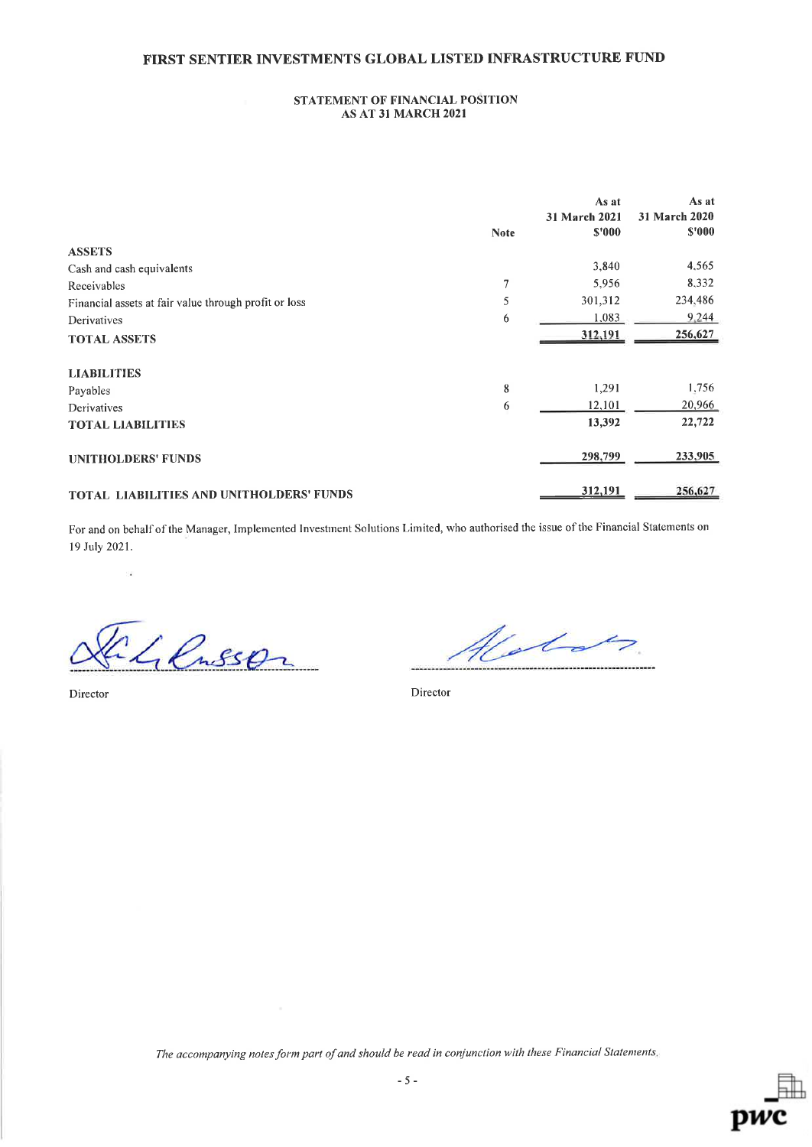### STATEMENT OF FINANCIAL POSITION AS AT 3I MARCH 2021

|                                                       | <b>Note</b> | As at<br>31 March 2021<br>\$'000 | As at<br>31 March 2020<br>\$'000 |
|-------------------------------------------------------|-------------|----------------------------------|----------------------------------|
| <b>ASSETS</b>                                         |             |                                  |                                  |
| Cash and cash equivalents                             |             | 3,840                            | 4,565                            |
| Receivables                                           | 7           | 5,956                            | 8,332                            |
| Financial assets at fair value through profit or loss | 5           | 301,312                          | 234,486                          |
| Derivatives                                           | 6           | 1,083                            | 9.244                            |
| <b>TOTAL ASSETS</b>                                   |             | 312,191                          | 256,627                          |
| <b>LIABILITIES</b>                                    |             |                                  |                                  |
| Payables                                              | 8           | 1,291                            | 1,756                            |
| Derivatives                                           | 6           | 12,101                           | 20,966                           |
| <b>TOTAL LIABILITIES</b>                              |             | 13,392                           | 22,722                           |
| <b>UNITHOLDERS' FUNDS</b>                             |             | 298,799                          | 233,905                          |
| TOTAL LIABILITIES AND UNITHOLDERS' FUNDS              |             | 312,191                          | 256,627                          |

For and on behalf of the Manager, Implemented Investment Solutions Limited, who authorised the issue of the Financial Statements on l9 July 2021.

- Lensson

Islan

Director Director

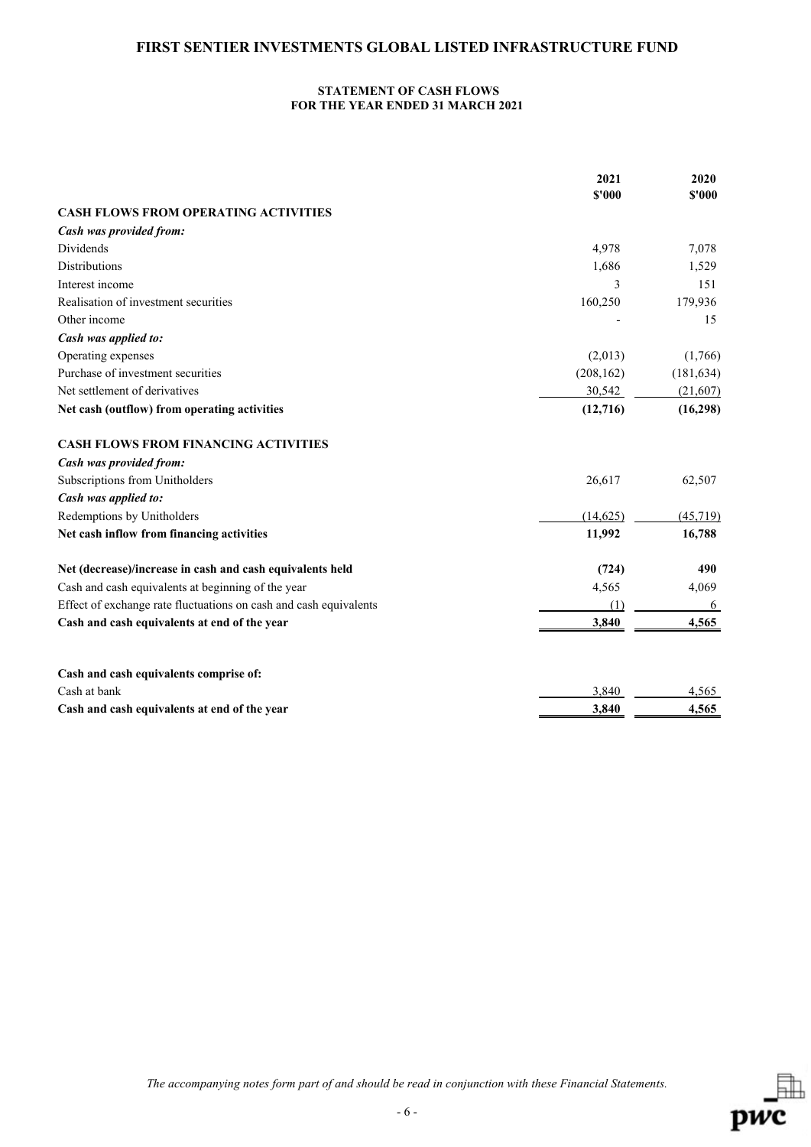## **STATEMENT OF CASH FLOWS FOR THE YEAR ENDED 31 MARCH 2021**

|                                                                   | 2021<br>\$'000 | 2020<br>\$'000 |
|-------------------------------------------------------------------|----------------|----------------|
| <b>CASH FLOWS FROM OPERATING ACTIVITIES</b>                       |                |                |
| Cash was provided from:                                           |                |                |
| Dividends                                                         | 4,978          | 7,078          |
| <b>Distributions</b>                                              | 1,686          | 1,529          |
| Interest income                                                   | 3              | 151            |
| Realisation of investment securities                              | 160,250        | 179,936        |
| Other income                                                      |                | 15             |
| Cash was applied to:                                              |                |                |
| Operating expenses                                                | (2,013)        | (1,766)        |
| Purchase of investment securities                                 | (208, 162)     | (181, 634)     |
| Net settlement of derivatives                                     | 30,542         | (21,607)       |
| Net cash (outflow) from operating activities                      | (12,716)       | (16, 298)      |
| <b>CASH FLOWS FROM FINANCING ACTIVITIES</b>                       |                |                |
| Cash was provided from:                                           |                |                |
| Subscriptions from Unitholders                                    | 26,617         | 62,507         |
| Cash was applied to:                                              |                |                |
| Redemptions by Unitholders                                        | (14, 625)      | (45, 719)      |
| Net cash inflow from financing activities                         | 11,992         | 16,788         |
| Net (decrease)/increase in cash and cash equivalents held         | (724)          | 490            |
| Cash and cash equivalents at beginning of the year                | 4,565          | 4,069          |
| Effect of exchange rate fluctuations on cash and cash equivalents | (1)            | 6              |
| Cash and cash equivalents at end of the year                      | 3,840          | 4,565          |
| Cash and cash equivalents comprise of:                            |                |                |
| Cash at bank                                                      | 3,840          | 4,565          |
| Cash and cash equivalents at end of the year                      | 3,840          | 4,565          |

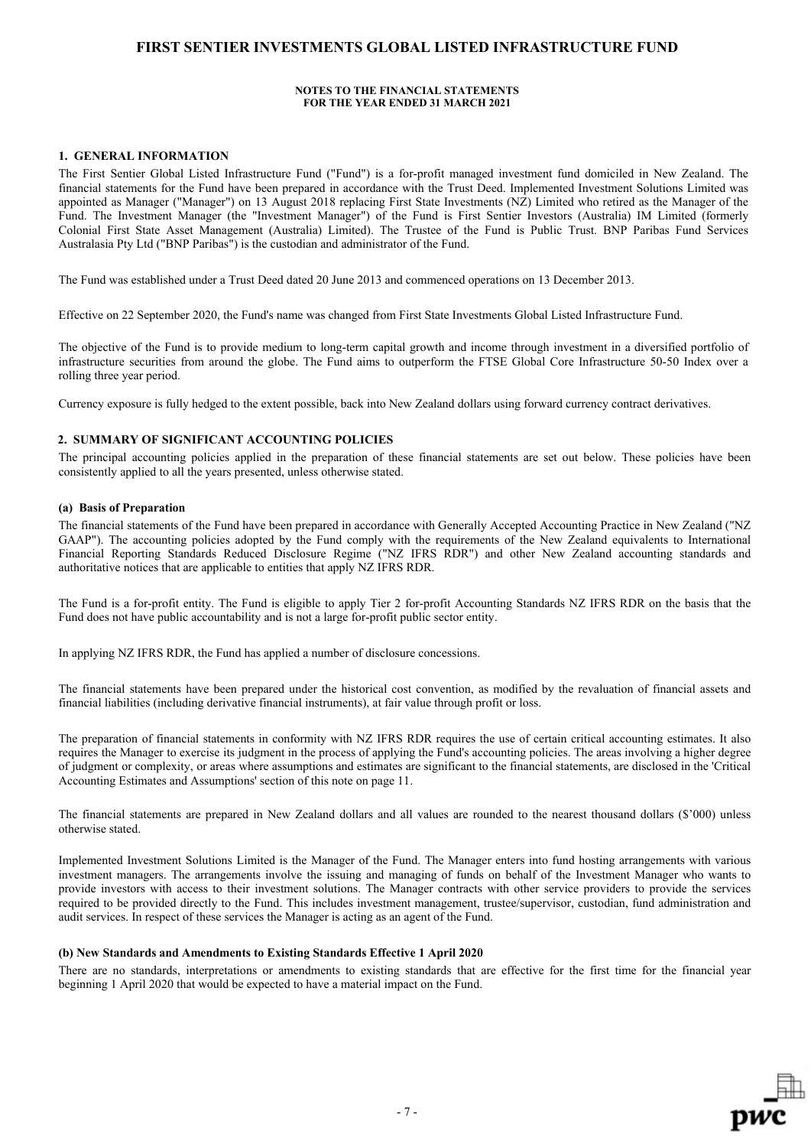#### **NOTES TO THE FINANCIAL STATEMENTS FOR THE YEAR ENDED 31 MARCH 2021**

#### **1. GENERAL INFORMATION**

The First Sentier Global Listed Infrastructure Fund ("Fund") is a for-profit managed investment fund domiciled in New Zealand. The financial statements for the Fund have been prepared in accordance with the Trust Deed. Implemented Investment Solutions Limited was appointed as Manager ("Manager") on 13 August 2018 replacing First State Investments (NZ) Limited who retired as the Manager of the Fund. The Investment Manager (the "Investment Manager") of the Fund is First Sentier Investors (Australia) IM Limited (formerly Colonial First State Asset Management (Australia) Limited). The Trustee of the Fund is Public Trust. BNP Paribas Fund Services Australasia Pty Ltd ("BNP Paribas") is the custodian and administrator of the Fund.

The Fund was established under a Trust Deed dated 20 June 2013 and commenced operations on 13 December 2013.

Effective on 22 September 2020, the Fund's name was changed from First State Investments Global Listed Infrastructure Fund.

The objective of the Fund is to provide medium to long-term capital growth and income through investment in a diversified portfolio of infrastructure securities from around the globe. The Fund aims to outperform the FTSE Global Core Infrastructure 50-50 Index over a rolling three year period.

Currency exposure is fully hedged to the extent possible, back into New Zealand dollars using forward currency contract derivatives.

### **2. SUMMARY OF SIGNIFICANT ACCOUNTING POLICIES**

The principal accounting policies applied in the preparation of these financial statements are set out below. These policies have been consistently applied to all the years presented, unless otherwise stated.

#### **(a) Basis of Preparation**

The financial statements of the Fund have been prepared in accordance with Generally Accepted Accounting Practice in New Zealand ("NZ GAAP"). The accounting policies adopted by the Fund comply with the requirements of the New Zealand equivalents to International Financial Reporting Standards Reduced Disclosure Regime ("NZ IFRS RDR") and other New Zealand accounting standards and authoritative notices that are applicable to entities that apply NZ IFRS RDR.

The Fund is a for-profit entity. The Fund is eligible to apply Tier 2 for-profit Accounting Standards NZ IFRS RDR on the basis that the Fund does not have public accountability and is not a large for-profit public sector entity.

In applying NZ IFRS RDR, the Fund has applied a number of disclosure concessions.

The financial statements have been prepared under the historical cost convention, as modified by the revaluation of financial assets and financial liabilities (including derivative financial instruments), at fair value through profit or loss.

The preparation of financial statements in conformity with NZ IFRS RDR requires the use of certain critical accounting estimates. It also requires the Manager to exercise its judgment in the process of applying the Fund's accounting policies. The areas involving a higher degree of judgment or complexity, or areas where assumptions and estimates are significant to the financial statements, are disclosed in the 'Critical Accounting Estimates and Assumptions' section of this note on page 11.

The financial statements are prepared in New Zealand dollars and all values are rounded to the nearest thousand dollars (\$'000) unless otherwise stated.

Implemented Investment Solutions Limited is the Manager of the Fund. The Manager enters into fund hosting arrangements with various investment managers. The arrangements involve the issuing and managing of funds on behalf of the Investment Manager who wants to provide investors with access to their investment solutions. The Manager contracts with other service providers to provide the services required to be provided directly to the Fund. This includes investment management, trustee/supervisor, custodian, fund administration and audit services. In respect of these services the Manager is acting as an agent of the Fund.

#### **(b) New Standards and Amendments to Existing Standards Effective 1 April 2020**

There are no standards, interpretations or amendments to existing standards that are effective for the first time for the financial year beginning 1 April 2020 that would be expected to have a material impact on the Fund.

- 7 -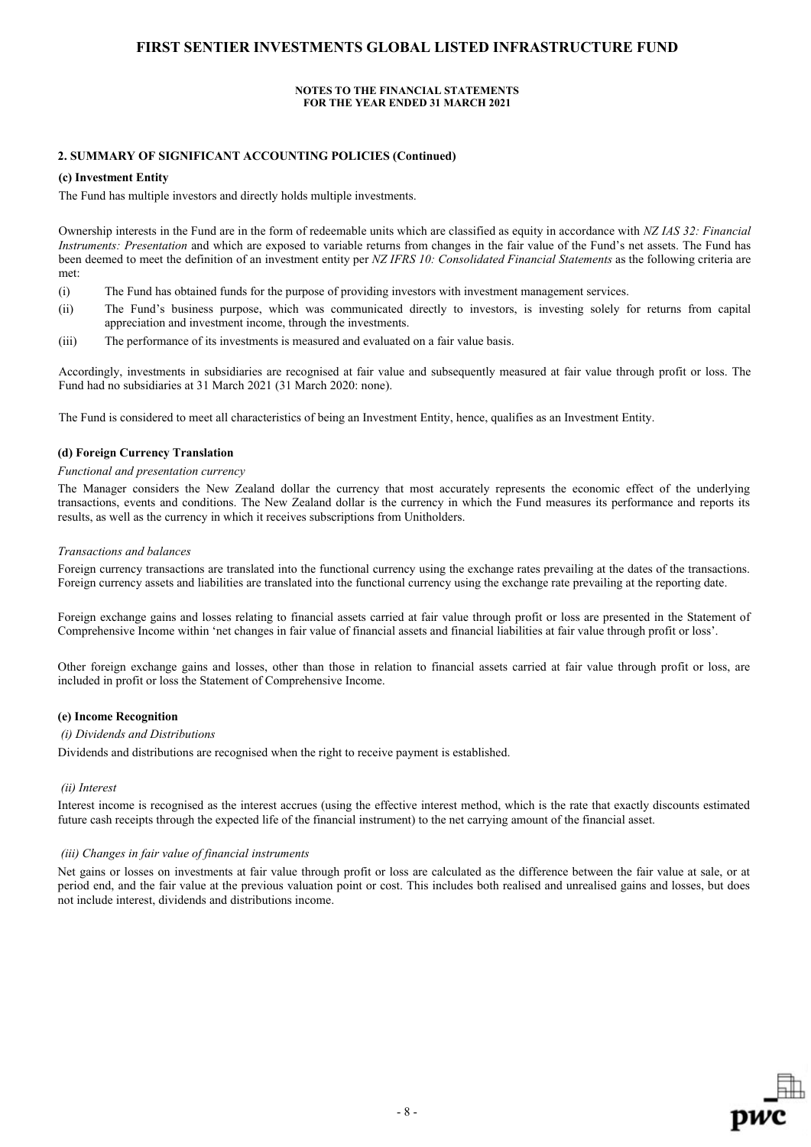#### **NOTES TO THE FINANCIAL STATEMENTS FOR THE YEAR ENDED 31 MARCH 2021**

### **2. SUMMARY OF SIGNIFICANT ACCOUNTING POLICIES (Continued)**

#### **(c) Investment Entity**

The Fund has multiple investors and directly holds multiple investments.

Ownership interests in the Fund are in the form of redeemable units which are classified as equity in accordance with *NZ IAS 32: Financial Instruments: Presentation* and which are exposed to variable returns from changes in the fair value of the Fund's net assets. The Fund has been deemed to meet the definition of an investment entity per *NZ IFRS 10: Consolidated Financial Statements* as the following criteria are met:

- (i) The Fund has obtained funds for the purpose of providing investors with investment management services.
- (ii) The Fund's business purpose, which was communicated directly to investors, is investing solely for returns from capital appreciation and investment income, through the investments.
- (iii) The performance of its investments is measured and evaluated on a fair value basis.

Accordingly, investments in subsidiaries are recognised at fair value and subsequently measured at fair value through profit or loss. The Fund had no subsidiaries at 31 March 2021 (31 March 2020: none).

The Fund is considered to meet all characteristics of being an Investment Entity, hence, qualifies as an Investment Entity.

#### **(d) Foreign Currency Translation**

#### *Functional and presentation currency*

The Manager considers the New Zealand dollar the currency that most accurately represents the economic effect of the underlying transactions, events and conditions. The New Zealand dollar is the currency in which the Fund measures its performance and reports its results, as well as the currency in which it receives subscriptions from Unitholders.

#### *Transactions and balances*

Foreign currency transactions are translated into the functional currency using the exchange rates prevailing at the dates of the transactions. Foreign currency assets and liabilities are translated into the functional currency using the exchange rate prevailing at the reporting date.

Foreign exchange gains and losses relating to financial assets carried at fair value through profit or loss are presented in the Statement of Comprehensive Income within 'net changes in fair value of financial assets and financial liabilities at fair value through profit or loss'.

Other foreign exchange gains and losses, other than those in relation to financial assets carried at fair value through profit or loss, are included in profit or loss the Statement of Comprehensive Income.

#### **(e) Income Recognition**

#### *(i) Dividends and Distributions*

Dividends and distributions are recognised when the right to receive payment is established.

#### *(ii) Interest*

Interest income is recognised as the interest accrues (using the effective interest method, which is the rate that exactly discounts estimated future cash receipts through the expected life of the financial instrument) to the net carrying amount of the financial asset.

#### *(iii) Changes in fair value of financial instruments*

Net gains or losses on investments at fair value through profit or loss are calculated as the difference between the fair value at sale, or at period end, and the fair value at the previous valuation point or cost. This includes both realised and unrealised gains and losses, but does not include interest, dividends and distributions income.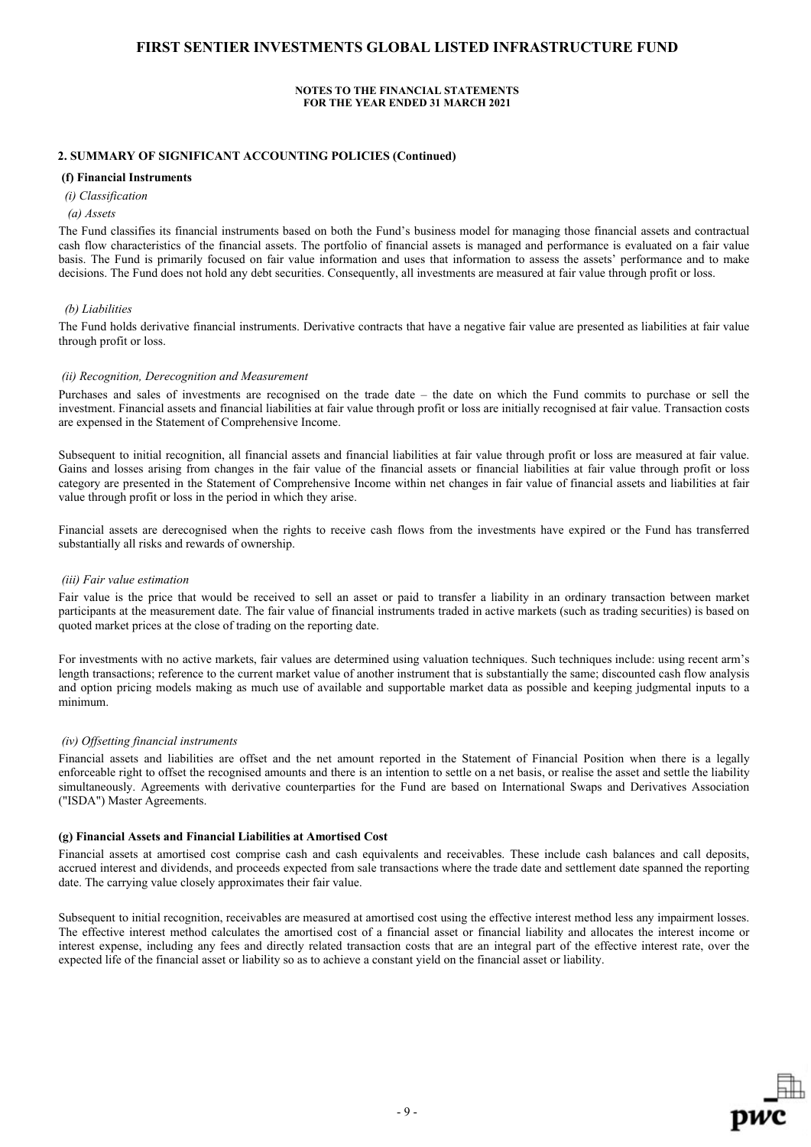#### **NOTES TO THE FINANCIAL STATEMENTS FOR THE YEAR ENDED 31 MARCH 2021**

#### **2. SUMMARY OF SIGNIFICANT ACCOUNTING POLICIES (Continued)**

#### **(f) Financial Instruments**

 *(i) Classification*

#### *(a) Assets*

The Fund classifies its financial instruments based on both the Fund's business model for managing those financial assets and contractual cash flow characteristics of the financial assets. The portfolio of financial assets is managed and performance is evaluated on a fair value basis. The Fund is primarily focused on fair value information and uses that information to assess the assets' performance and to make decisions. The Fund does not hold any debt securities. Consequently, all investments are measured at fair value through profit or loss.

#### *(b) Liabilities*

The Fund holds derivative financial instruments. Derivative contracts that have a negative fair value are presented as liabilities at fair value through profit or loss.

#### *(ii) Recognition, Derecognition and Measurement*

Purchases and sales of investments are recognised on the trade date – the date on which the Fund commits to purchase or sell the investment. Financial assets and financial liabilities at fair value through profit or loss are initially recognised at fair value. Transaction costs are expensed in the Statement of Comprehensive Income.

Subsequent to initial recognition, all financial assets and financial liabilities at fair value through profit or loss are measured at fair value. Gains and losses arising from changes in the fair value of the financial assets or financial liabilities at fair value through profit or loss category are presented in the Statement of Comprehensive Income within net changes in fair value of financial assets and liabilities at fair value through profit or loss in the period in which they arise.

Financial assets are derecognised when the rights to receive cash flows from the investments have expired or the Fund has transferred substantially all risks and rewards of ownership.

#### *(iii) Fair value estimation*

Fair value is the price that would be received to sell an asset or paid to transfer a liability in an ordinary transaction between market participants at the measurement date. The fair value of financial instruments traded in active markets (such as trading securities) is based on quoted market prices at the close of trading on the reporting date.

For investments with no active markets, fair values are determined using valuation techniques. Such techniques include: using recent arm's length transactions; reference to the current market value of another instrument that is substantially the same; discounted cash flow analysis and option pricing models making as much use of available and supportable market data as possible and keeping judgmental inputs to a minimum.

#### *(iv) Offsetting financial instruments*

Financial assets and liabilities are offset and the net amount reported in the Statement of Financial Position when there is a legally enforceable right to offset the recognised amounts and there is an intention to settle on a net basis, or realise the asset and settle the liability simultaneously. Agreements with derivative counterparties for the Fund are based on International Swaps and Derivatives Association ("ISDA") Master Agreements.

#### **(g) Financial Assets and Financial Liabilities at Amortised Cost**

Financial assets at amortised cost comprise cash and cash equivalents and receivables. These include cash balances and call deposits, accrued interest and dividends, and proceeds expected from sale transactions where the trade date and settlement date spanned the reporting date. The carrying value closely approximates their fair value.

Subsequent to initial recognition, receivables are measured at amortised cost using the effective interest method less any impairment losses. The effective interest method calculates the amortised cost of a financial asset or financial liability and allocates the interest income or interest expense, including any fees and directly related transaction costs that are an integral part of the effective interest rate, over the expected life of the financial asset or liability so as to achieve a constant yield on the financial asset or liability.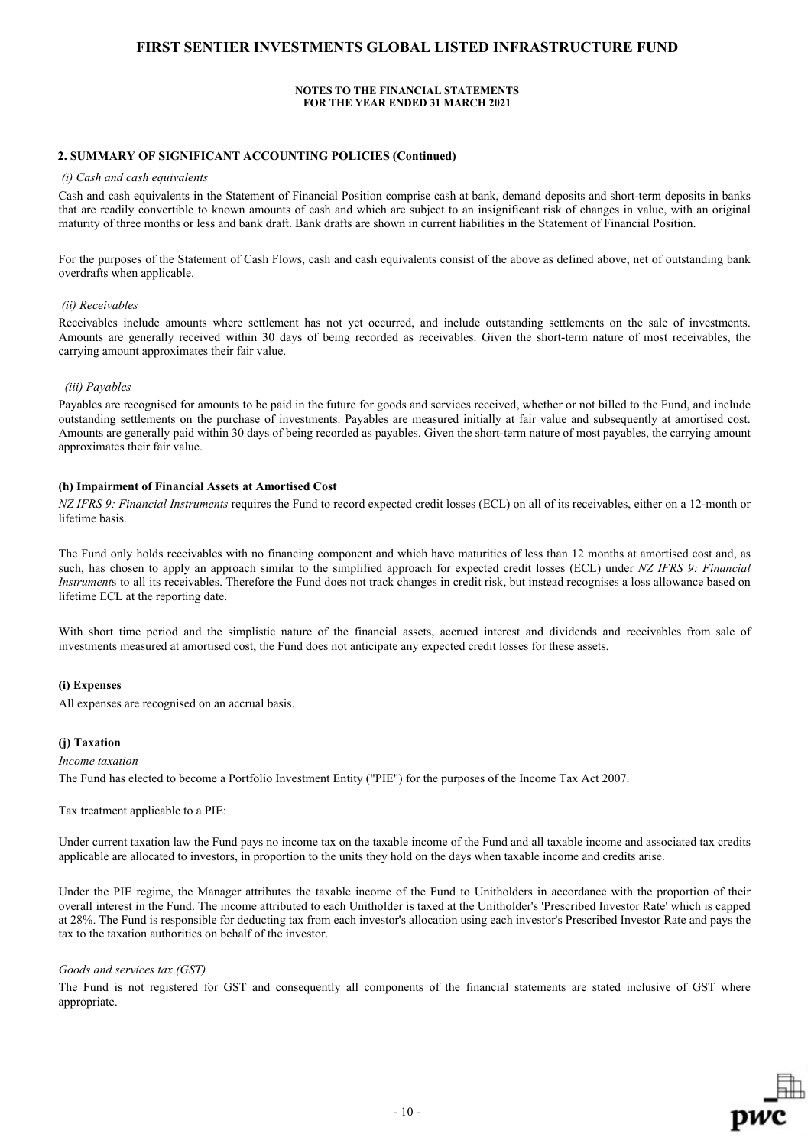#### **NOTES TO THE FINANCIAL STATEMENTS FOR THE YEAR ENDED 31 MARCH 2021**

#### **2. SUMMARY OF SIGNIFICANT ACCOUNTING POLICIES (Continued)**

#### *(i) Cash and cash equivalents*

Cash and cash equivalents in the Statement of Financial Position comprise cash at bank, demand deposits and short-term deposits in banks that are readily convertible to known amounts of cash and which are subject to an insignificant risk of changes in value, with an original maturity of three months or less and bank draft. Bank drafts are shown in current liabilities in the Statement of Financial Position.

For the purposes of the Statement of Cash Flows, cash and cash equivalents consist of the above as defined above, net of outstanding bank overdrafts when applicable.

#### *(ii) Receivables*

Receivables include amounts where settlement has not yet occurred, and include outstanding settlements on the sale of investments. Amounts are generally received within 30 days of being recorded as receivables. Given the short-term nature of most receivables, the carrying amount approximates their fair value.

#### *(iii) Payables*

Payables are recognised for amounts to be paid in the future for goods and services received, whether or not billed to the Fund, and include outstanding settlements on the purchase of investments. Payables are measured initially at fair value and subsequently at amortised cost. Amounts are generally paid within 30 days of being recorded as payables. Given the short-term nature of most payables, the carrying amount approximates their fair value.

#### **(h) Impairment of Financial Assets at Amortised Cost**

*NZ IFRS 9: Financial Instruments* requires the Fund to record expected credit losses (ECL) on all of its receivables, either on a 12-month or lifetime basis.

The Fund only holds receivables with no financing component and which have maturities of less than 12 months at amortised cost and, as such, has chosen to apply an approach similar to the simplified approach for expected credit losses (ECL) under *NZ IFRS 9: Financial Instrument*s to all its receivables. Therefore the Fund does not track changes in credit risk, but instead recognises a loss allowance based on lifetime ECL at the reporting date.

With short time period and the simplistic nature of the financial assets, accrued interest and dividends and receivables from sale of investments measured at amortised cost, the Fund does not anticipate any expected credit losses for these assets.

#### **(i) Expenses**

All expenses are recognised on an accrual basis.

## **(j) Taxation**

*Income taxation*

The Fund has elected to become a Portfolio Investment Entity ("PIE") for the purposes of the Income Tax Act 2007.

Tax treatment applicable to a PIE:

Under current taxation law the Fund pays no income tax on the taxable income of the Fund and all taxable income and associated tax credits applicable are allocated to investors, in proportion to the units they hold on the days when taxable income and credits arise.

Under the PIE regime, the Manager attributes the taxable income of the Fund to Unitholders in accordance with the proportion of their overall interest in the Fund. The income attributed to each Unitholder is taxed at the Unitholder's 'Prescribed Investor Rate' which is capped at 28%. The Fund is responsible for deducting tax from each investor's allocation using each investor's Prescribed Investor Rate and pays the tax to the taxation authorities on behalf of the investor.

#### *Goods and services tax (GST)*

The Fund is not registered for GST and consequently all components of the financial statements are stated inclusive of GST where appropriate.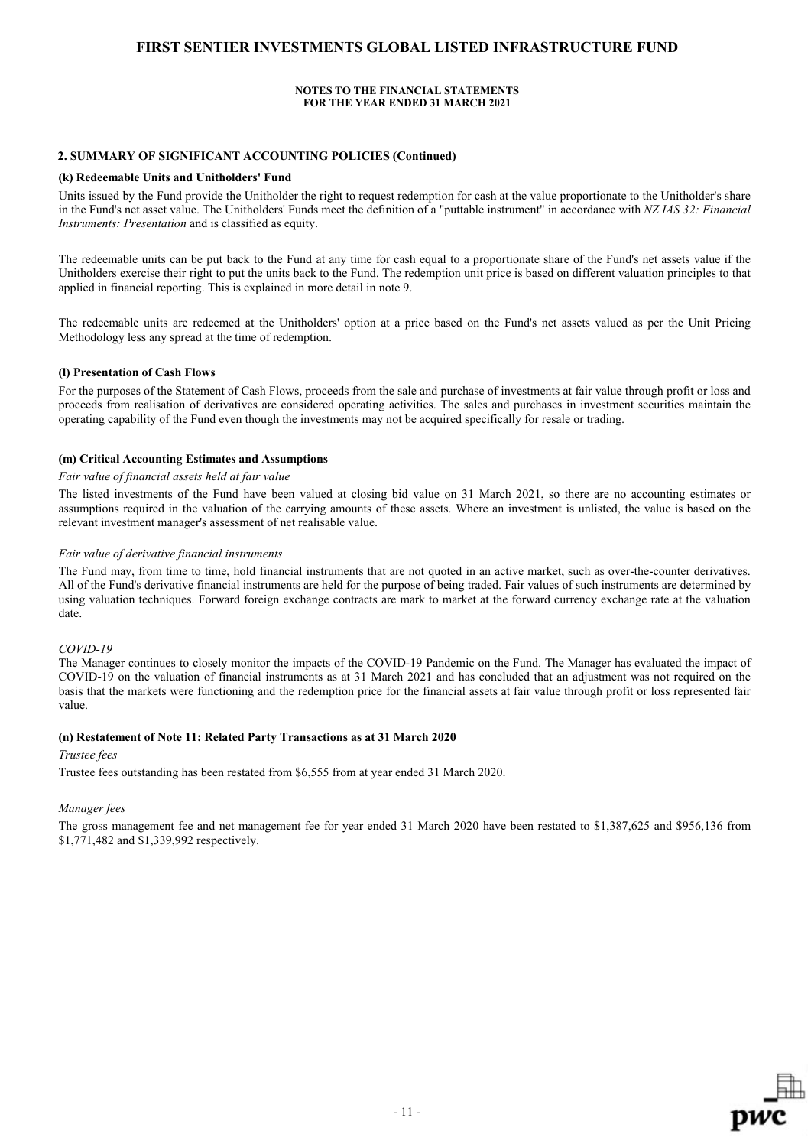### **NOTES TO THE FINANCIAL STATEMENTS FOR THE YEAR ENDED 31 MARCH 2021**

### **2. SUMMARY OF SIGNIFICANT ACCOUNTING POLICIES (Continued)**

#### **(k) Redeemable Units and Unitholders' Fund**

Units issued by the Fund provide the Unitholder the right to request redemption for cash at the value proportionate to the Unitholder's share in the Fund's net asset value. The Unitholders' Funds meet the definition of a "puttable instrument" in accordance with *NZ IAS 32: Financial Instruments: Presentation* and is classified as equity.

The redeemable units can be put back to the Fund at any time for cash equal to a proportionate share of the Fund's net assets value if the Unitholders exercise their right to put the units back to the Fund. The redemption unit price is based on different valuation principles to that applied in financial reporting. This is explained in more detail in note 9.

The redeemable units are redeemed at the Unitholders' option at a price based on the Fund's net assets valued as per the Unit Pricing Methodology less any spread at the time of redemption.

#### **(l) Presentation of Cash Flows**

For the purposes of the Statement of Cash Flows, proceeds from the sale and purchase of investments at fair value through profit or loss and proceeds from realisation of derivatives are considered operating activities. The sales and purchases in investment securities maintain the operating capability of the Fund even though the investments may not be acquired specifically for resale or trading.

#### **(m) Critical Accounting Estimates and Assumptions**

#### *Fair value of financial assets held at fair value*

The listed investments of the Fund have been valued at closing bid value on 31 March 2021, so there are no accounting estimates or assumptions required in the valuation of the carrying amounts of these assets. Where an investment is unlisted, the value is based on the relevant investment manager's assessment of net realisable value.

#### *Fair value of derivative financial instruments*

The Fund may, from time to time, hold financial instruments that are not quoted in an active market, such as over-the-counter derivatives. All of the Fund's derivative financial instruments are held for the purpose of being traded. Fair values of such instruments are determined by using valuation techniques. Forward foreign exchange contracts are mark to market at the forward currency exchange rate at the valuation date.

#### *COVID-19*

The Manager continues to closely monitor the impacts of the COVID-19 Pandemic on the Fund. The Manager has evaluated the impact of COVID-19 on the valuation of financial instruments as at 31 March 2021 and has concluded that an adjustment was not required on the basis that the markets were functioning and the redemption price for the financial assets at fair value through profit or loss represented fair value.

#### **(n) Restatement of Note 11: Related Party Transactions as at 31 March 2020**

#### *Trustee fees*

Trustee fees outstanding has been restated from \$6,555 from at year ended 31 March 2020.

#### *Manager fees*

The gross management fee and net management fee for year ended 31 March 2020 have been restated to \$1,387,625 and \$956,136 from \$1,771,482 and \$1,339,992 respectively.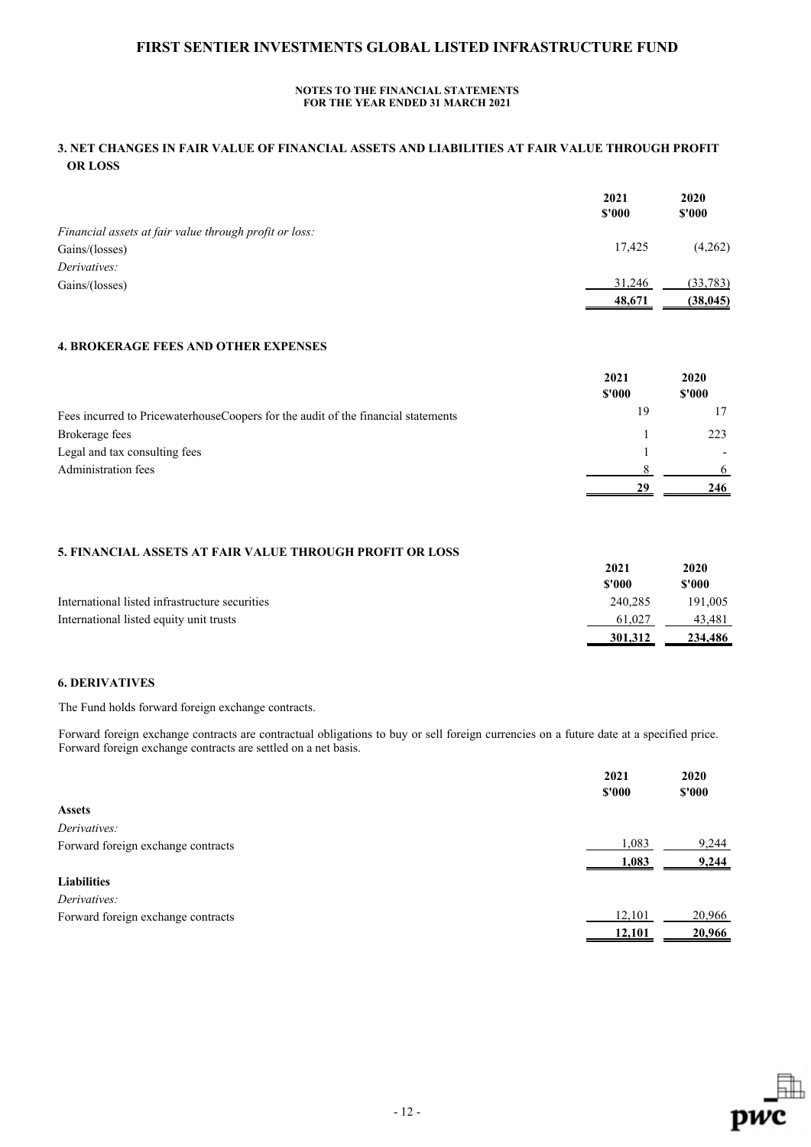## **NOTES TO THE FINANCIAL STATEMENTS FOR THE YEAR ENDED 31 MARCH 2021**

## **3. NET CHANGES IN FAIR VALUE OF FINANCIAL ASSETS AND LIABILITIES AT FAIR VALUE THROUGH PROFIT OR LOSS**

|                                                        | 2021<br>\$'000 | 2020<br>\$'000 |
|--------------------------------------------------------|----------------|----------------|
| Financial assets at fair value through profit or loss: |                |                |
| Gains/(losses)                                         | 17.425         | (4,262)        |
| Derivatives:                                           |                |                |
| Gains/(losses)                                         | 31,246         | (33,783)       |
|                                                        | 48,671         | (38, 045)      |

## **4. BROKERAGE FEES AND OTHER EXPENSES**

|                                                                                   | 2021   | 2020<br>\$'000 |
|-----------------------------------------------------------------------------------|--------|----------------|
|                                                                                   | \$'000 |                |
| Fees incurred to PricewaterhouseCoopers for the audit of the financial statements | 19     |                |
| Brokerage fees                                                                    |        | 223            |
| Legal and tax consulting fees                                                     |        |                |
| Administration fees                                                               |        |                |
|                                                                                   | 29     | 246            |

## **5. FINANCIAL ASSETS AT FAIR VALUE THROUGH PROFIT OR LOSS**

|                                                | 2021<br>\$'000 | 2020<br>\$'000 |
|------------------------------------------------|----------------|----------------|
| International listed infrastructure securities | 240,285        | 191,005        |
| International listed equity unit trusts        | 61,027         | 43,481         |
|                                                | 301,312        | 234,486        |

## **6. DERIVATIVES**

The Fund holds forward foreign exchange contracts.

Forward foreign exchange contracts are contractual obligations to buy or sell foreign currencies on a future date at a specified price. Forward foreign exchange contracts are settled on a net basis.

|                                    | 2021<br>\$'000 | 2020<br>\$'000 |
|------------------------------------|----------------|----------------|
| <b>Assets</b>                      |                |                |
| Derivatives:                       |                |                |
| Forward foreign exchange contracts | 1,083          | 9,244          |
|                                    | 1,083          | 9,244          |
| <b>Liabilities</b>                 |                |                |
| Derivatives:                       |                |                |
| Forward foreign exchange contracts | 12,101         | 20,966         |
|                                    | 12,101         | 20,966         |
|                                    |                |                |

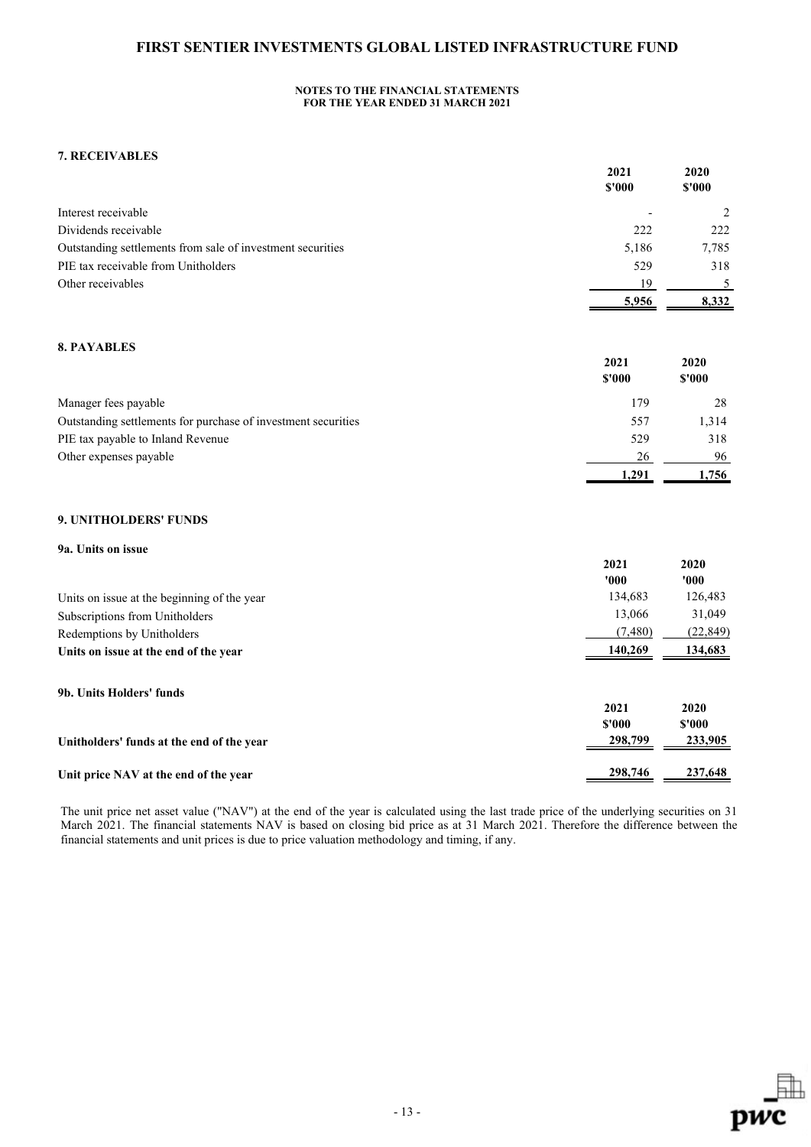### **NOTES TO THE FINANCIAL STATEMENTS FOR THE YEAR ENDED 31 MARCH 2021**

## **7. RECEIVABLES**

|                                                               | 2021<br>$$'000$ | 2020<br>\$'000  |
|---------------------------------------------------------------|-----------------|-----------------|
| Interest receivable                                           |                 | 2               |
| Dividends receivable                                          | 222             | 222             |
| Outstanding settlements from sale of investment securities    | 5,186           | 7,785           |
| PIE tax receivable from Unitholders                           | 529             | 318             |
| Other receivables                                             | 19              | 5               |
|                                                               | 5,956           | 8,332           |
| <b>8. PAYABLES</b>                                            |                 |                 |
|                                                               | 2021<br>\$'000  | 2020<br>\$'000  |
| Manager fees payable                                          | 179             | 28              |
| Outstanding settlements for purchase of investment securities | 557             | 1,314           |
| PIE tax payable to Inland Revenue                             | 529             | 318             |
| Other expenses payable                                        | 26              | 96              |
|                                                               | 1,291           | 1,756           |
| 9. UNITHOLDERS' FUNDS                                         |                 |                 |
| 9a. Units on issue                                            |                 |                 |
|                                                               | 2021            | 2020            |
|                                                               | '000'           | '000            |
| Units on issue at the beginning of the year                   | 134,683         | 126,483         |
| Subscriptions from Unitholders                                | 13,066          | 31,049          |
| Redemptions by Unitholders                                    | (7,480)         | (22, 849)       |
| Units on issue at the end of the year                         | 140,269         | 134,683         |
| 9b. Units Holders' funds                                      |                 |                 |
|                                                               | 2021<br>\$'000  | 2020<br>$$'000$ |
| Unitholders' funds at the end of the year                     | 298,799         | 233,905         |
| Unit price NAV at the end of the year                         | 298,746         | 237,648         |

The unit price net asset value ("NAV") at the end of the year is calculated using the last trade price of the underlying securities on 31 March 2021. The financial statements NAV is based on closing bid price as at 31 March 2021. Therefore the difference between the financial statements and unit prices is due to price valuation methodology and timing, if any.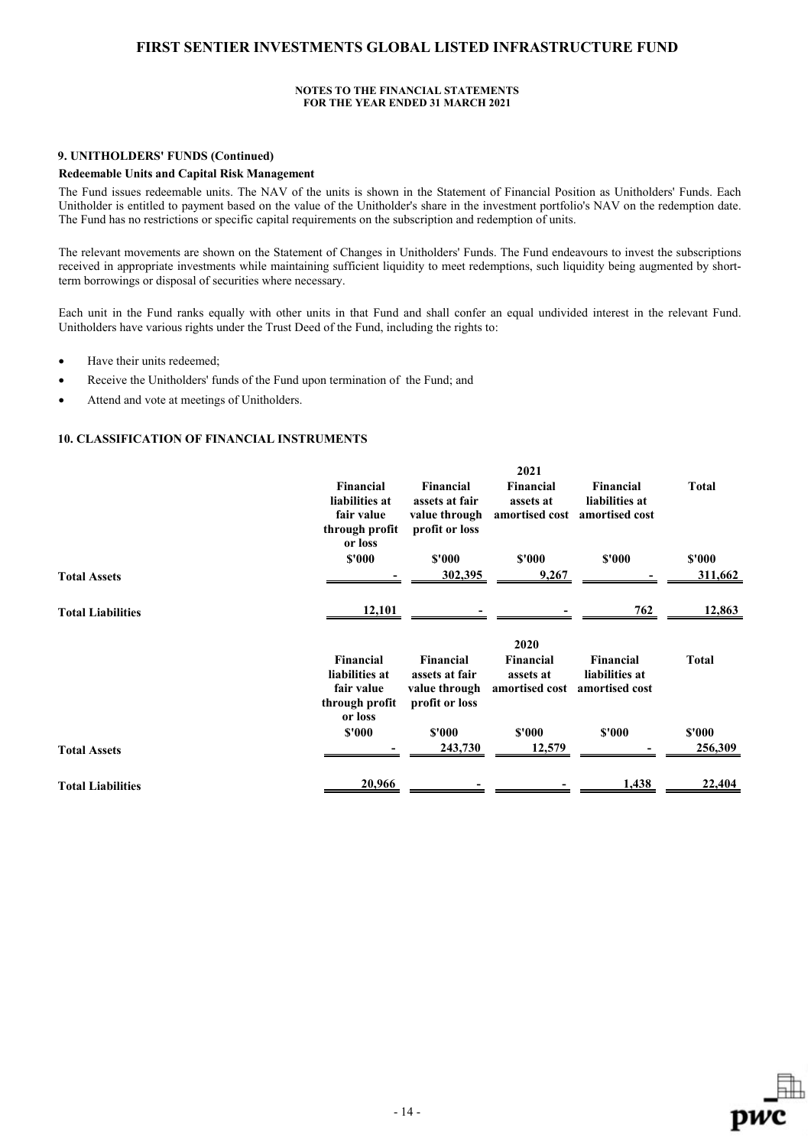#### **NOTES TO THE FINANCIAL STATEMENTS FOR THE YEAR ENDED 31 MARCH 2021**

### **9. UNITHOLDERS' FUNDS (Continued)**

### **Redeemable Units and Capital Risk Management**

The Fund issues redeemable units. The NAV of the units is shown in the Statement of Financial Position as Unitholders' Funds. Each Unitholder is entitled to payment based on the value of the Unitholder's share in the investment portfolio's NAV on the redemption date. The Fund has no restrictions or specific capital requirements on the subscription and redemption of units.

The relevant movements are shown on the Statement of Changes in Unitholders' Funds. The Fund endeavours to invest the subscriptions received in appropriate investments while maintaining sufficient liquidity to meet redemptions, such liquidity being augmented by shortterm borrowings or disposal of securities where necessary.

Each unit in the Fund ranks equally with other units in that Fund and shall confer an equal undivided interest in the relevant Fund. Unitholders have various rights under the Trust Deed of the Fund, including the rights to:

- Have their units redeemed;
- Receive the Unitholders' funds of the Fund upon termination of the Fund; and
- Attend and vote at meetings of Unitholders.

### **10. CLASSIFICATION OF FINANCIAL INSTRUMENTS**

|                          |                                                                        |                                                                       | 2021                                                    |                                                                     |                   |
|--------------------------|------------------------------------------------------------------------|-----------------------------------------------------------------------|---------------------------------------------------------|---------------------------------------------------------------------|-------------------|
|                          | Financial<br>liabilities at<br>fair value<br>through profit<br>or loss | Financial<br>assets at fair<br>value through<br>profit or loss        | Financial<br>assets at                                  | <b>Financial</b><br>liabilities at<br>amortised cost amortised cost | <b>Total</b>      |
|                          | \$'000                                                                 | \$'000                                                                | \$'000                                                  | \$'000                                                              | \$'000            |
| <b>Total Assets</b>      |                                                                        | 302,395                                                               | 9,267                                                   |                                                                     | 311,662           |
| <b>Total Liabilities</b> | 12,101                                                                 |                                                                       |                                                         | <u>762</u>                                                          | 12,863            |
|                          | <b>Financial</b><br>liabilities at<br>fair value<br>through profit     | <b>Financial</b><br>assets at fair<br>value through<br>profit or loss | 2020<br><b>Financial</b><br>assets at<br>amortised cost | Financial<br>liabilities at<br>amortised cost                       | <b>Total</b>      |
| <b>Total Assets</b>      | or loss<br>\$'000                                                      | \$'000<br>243,730                                                     | \$'000<br>12,579                                        | \$'000                                                              | \$'000<br>256,309 |
| <b>Total Liabilities</b> | 20,966                                                                 |                                                                       |                                                         | 1,438                                                               | 22,404            |
|                          |                                                                        |                                                                       |                                                         |                                                                     |                   |

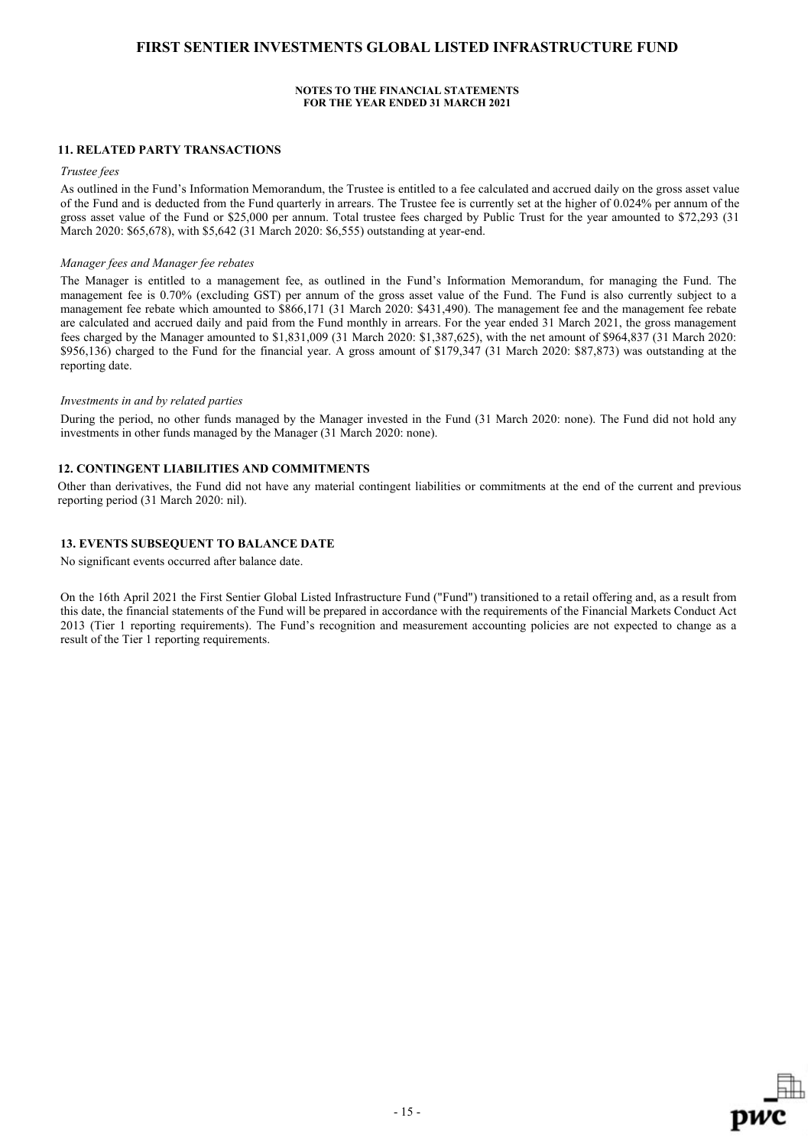### **NOTES TO THE FINANCIAL STATEMENTS FOR THE YEAR ENDED 31 MARCH 2021**

#### **11. RELATED PARTY TRANSACTIONS**

### *Trustee fees*

As outlined in the Fund's Information Memorandum, the Trustee is entitled to a fee calculated and accrued daily on the gross asset value of the Fund and is deducted from the Fund quarterly in arrears. The Trustee fee is currently set at the higher of 0.024% per annum of the gross asset value of the Fund or \$25,000 per annum. Total trustee fees charged by Public Trust for the year amounted to \$72,293 (31 March 2020: \$65,678), with \$5,642 (31 March 2020: \$6,555) outstanding at year-end.

#### *Manager fees and Manager fee rebates*

The Manager is entitled to a management fee, as outlined in the Fund's Information Memorandum, for managing the Fund. The management fee is 0.70% (excluding GST) per annum of the gross asset value of the Fund. The Fund is also currently subject to a management fee rebate which amounted to \$866,171 (31 March 2020: \$431,490). The management fee and the management fee rebate are calculated and accrued daily and paid from the Fund monthly in arrears. For the year ended 31 March 2021, the gross management fees charged by the Manager amounted to \$1,831,009 (31 March 2020: \$1,387,625), with the net amount of \$964,837 (31 March 2020: \$956,136) charged to the Fund for the financial year. A gross amount of \$179,347 (31 March 2020: \$87,873) was outstanding at the reporting date.

#### *Investments in and by related parties*

During the period, no other funds managed by the Manager invested in the Fund (31 March 2020: none). The Fund did not hold any investments in other funds managed by the Manager (31 March 2020: none).

### **12. CONTINGENT LIABILITIES AND COMMITMENTS**

Other than derivatives, the Fund did not have any material contingent liabilities or commitments at the end of the current and previous reporting period (31 March 2020: nil).

## **13. EVENTS SUBSEQUENT TO BALANCE DATE**

No significant events occurred after balance date.

On the 16th April 2021 the First Sentier Global Listed Infrastructure Fund ("Fund") transitioned to a retail offering and, as a result from this date, the financial statements of the Fund will be prepared in accordance with the requirements of the Financial Markets Conduct Act 2013 (Tier 1 reporting requirements). The Fund's recognition and measurement accounting policies are not expected to change as a result of the Tier 1 reporting requirements.

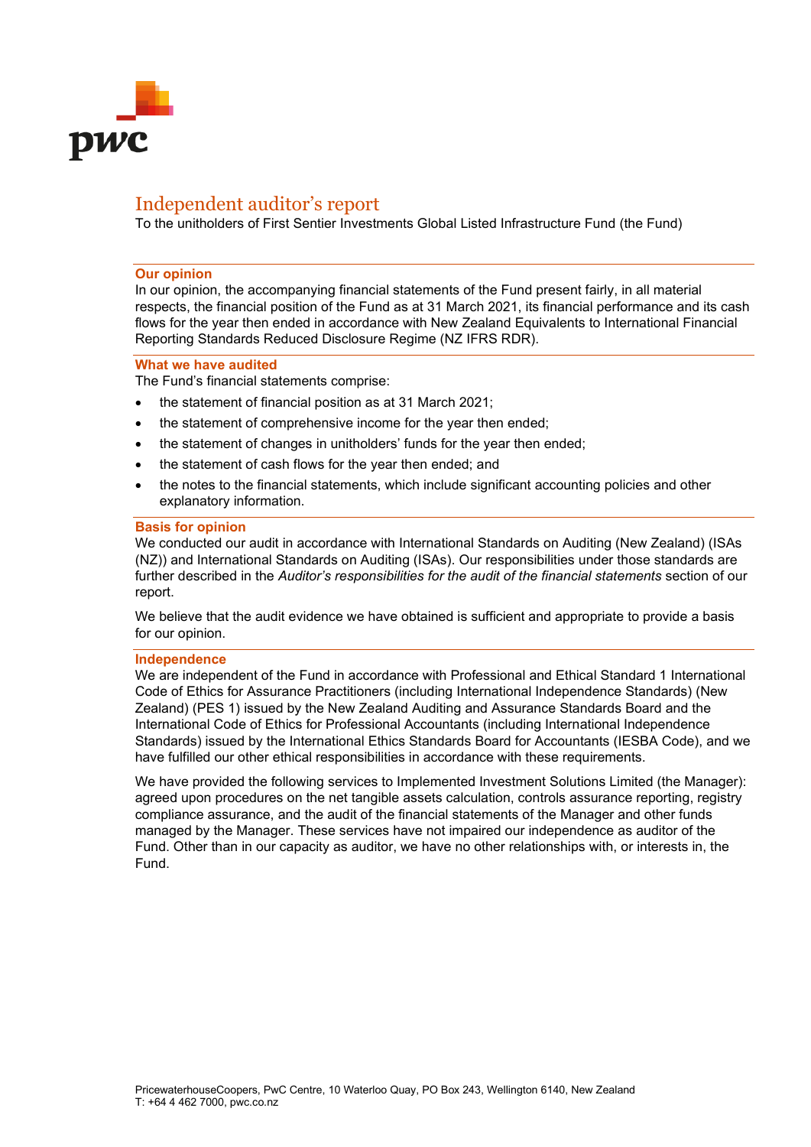

# Independent auditor's report

To the unitholders of First Sentier Investments Global Listed Infrastructure Fund (the Fund)

### **Our opinion**

In our opinion, the accompanying financial statements of the Fund present fairly, in all material respects, the financial position of the Fund as at 31 March 2021, its financial performance and its cash flows for the year then ended in accordance with New Zealand Equivalents to International Financial Reporting Standards Reduced Disclosure Regime (NZ IFRS RDR).

### **What we have audited**

The Fund's financial statements comprise:

- the statement of financial position as at 31 March 2021;
- the statement of comprehensive income for the year then ended;
- the statement of changes in unitholders' funds for the year then ended;
- the statement of cash flows for the year then ended; and
- the notes to the financial statements, which include significant accounting policies and other explanatory information.

## **Basis for opinion**

We conducted our audit in accordance with International Standards on Auditing (New Zealand) (ISAs (NZ)) and International Standards on Auditing (ISAs). Our responsibilities under those standards are further described in the *Auditor's responsibilities for the audit of the financial statements* section of our report.

We believe that the audit evidence we have obtained is sufficient and appropriate to provide a basis for our opinion.

## **Independence**

We are independent of the Fund in accordance with Professional and Ethical Standard 1 International Code of Ethics for Assurance Practitioners (including International Independence Standards) (New Zealand) (PES 1) issued by the New Zealand Auditing and Assurance Standards Board and the International Code of Ethics for Professional Accountants (including International Independence Standards) issued by the International Ethics Standards Board for Accountants (IESBA Code), and we have fulfilled our other ethical responsibilities in accordance with these requirements.

We have provided the following services to Implemented Investment Solutions Limited (the Manager): agreed upon procedures on the net tangible assets calculation, controls assurance reporting, registry compliance assurance, and the audit of the financial statements of the Manager and other funds managed by the Manager. These services have not impaired our independence as auditor of the Fund. Other than in our capacity as auditor, we have no other relationships with, or interests in, the Fund.